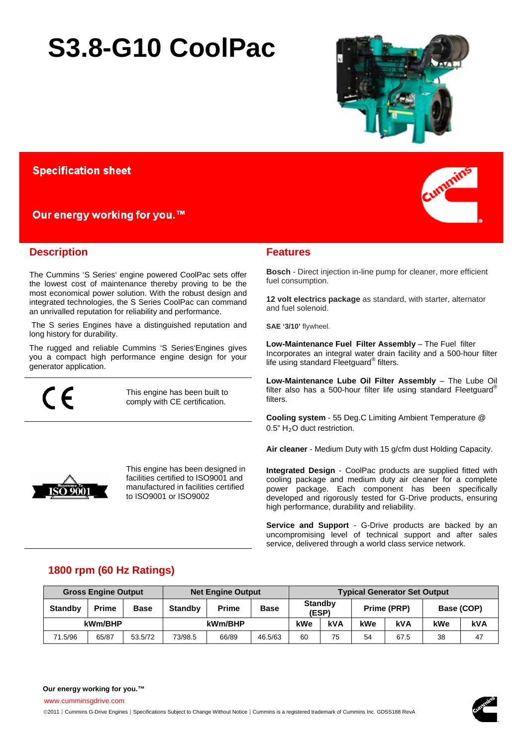# **S3.8-G10 CoolPac**



## **Specification sheet**

## Our energy working for you.<sup>™</sup>

## **Description**

The Cummins 'S Series' engine powered CoolPac sets offer the lowest cost of maintenance thereby proving to be the most economical power solution. With the robust design and integrated technologies, the S Series CoolPac can command an unrivalled reputation for reliability and performance.

The S series Engines have a distinguished reputation and long history for durability.

The rugged and reliable Cummins 'S Series'Engines gives you a compact high performance engine design for your generator application.

 $\epsilon$ 

ISO 9001

This engine has been built to comply with CE certification.

This engine has been designed in facilities certified to ISO9001 and manufactured in facilities certified

to ISO9001 or ISO9002



## **Features**

**Bosch** - Direct injection in-line pump for cleaner, more efficient fuel consumption.

**12 volt electrics package** as standard, with starter, alternator and fuel solenoid.

SAE '3/10' flywheel.

**Low-Maintenance Fuel Filter Assembly - The Fuel filter** Incorporates an integral water drain facility and a 500-hour filter life using standard Fleetguard® filters.

Low-Maintenance Lube Oil Filter Assembly - The Lube Oil filter also has a 500-hour filter life using standard Fleetguard® filters.

**Cooling system** - 55 Deg.C Limiting Ambient Temperature @ 0.5" H<sub>2</sub>O duct restriction.

**Air cleaner** - Medium Duty with 15 g/cfm dust Holding Capacity.

**Integrated Design** - CoolPac products are supplied fitted with cooling package and medium duty air cleaner for a complete power package. Each component has been specifically developed and rigorously tested for G-Drive products, ensuring high performance, durability and reliability.

**Service and Support** - G-Drive products are backed by an uncompromising level of technical support and after sales service, delivered through a world class service network.

## **1800 rpm (60 Hz Ratings)**

|                | <b>Gross Engine Output</b> |             | <b>Typical Generator Set Output</b><br><b>Net Engine Output</b> |              |             |                         |     |             |            |            |            |
|----------------|----------------------------|-------------|-----------------------------------------------------------------|--------------|-------------|-------------------------|-----|-------------|------------|------------|------------|
| <b>Standby</b> | <b>Prime</b>               | <b>Base</b> | <b>Standby</b>                                                  | <b>Prime</b> | <b>Base</b> | <b>Standby</b><br>(ESP) |     | Prime (PRP) |            | Base (COP) |            |
| kWm/BHP        |                            |             | kWm/BHP                                                         |              |             | kWe                     | kVA | kWe         | <b>kVA</b> | kWe        | <b>kVA</b> |
| 71.5/96        | 65/87                      | 53.5/72     | 73/98.5                                                         | 66/89        | 46.5/63     | 60                      | 75  | 54          | 67.5       | 38         | 47         |